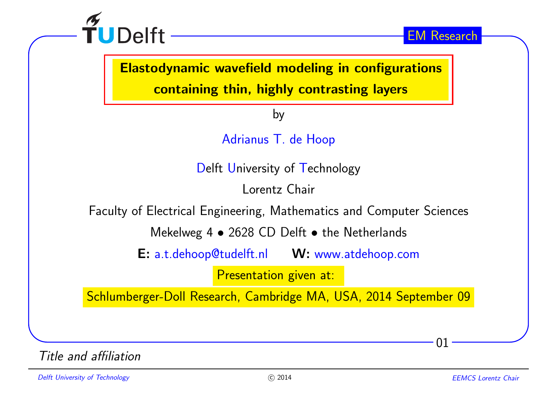

Elastodynamic wavefield modeling in configurations

containing thin, highly contrasting layers

by

Adrianus T. de Hoop

Delft University of Technology

Lorentz Chair

Faculty of Electrical Engineering, Mathematics and Computer Sciences

Mekelweg 4  $\bullet$  2628 CD Delft  $\bullet$  the Netherlands

E: a.t.dehoop@tudelft.nl W: www.atdehoop.com

Presentation <sup>g</sup>iven at:

Schlumberger-Doll Research, Cambridge MA, USA, <sup>2014</sup> September <sup>09</sup>

Title and affiliation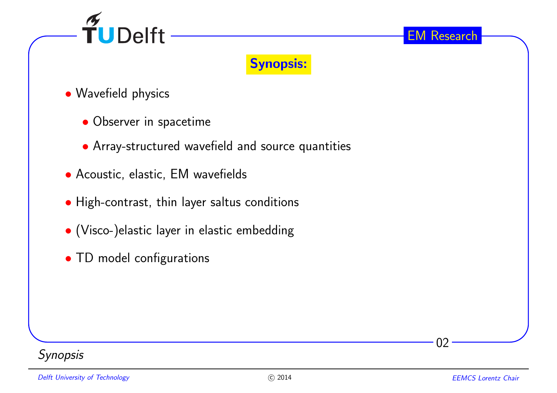



- Wavefield <sup>p</sup>hysics
	- Observer in spacetime
	- Array-structured wavefield and source quantities
- Acoustic, elastic, EM wavefields
- High-contrast, thin layer saltus conditions
- (Visco-)elastic layer in elastic embedding
- TD model configurations

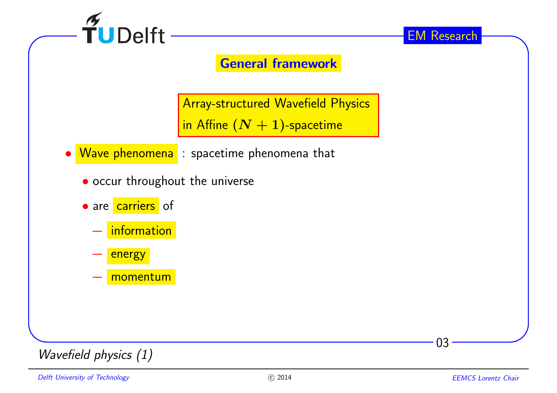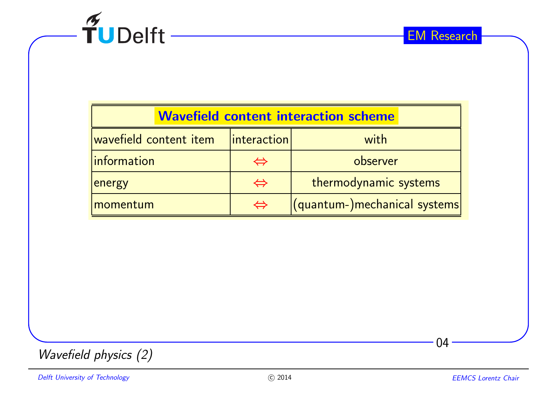

| <b>Wavefield content interaction scheme</b> |                    |                              |
|---------------------------------------------|--------------------|------------------------------|
| wavefield content item                      | <i>interaction</i> | with                         |
| <i>Information</i>                          | $\Leftrightarrow$  | observer                     |
| <b>energy</b>                               | $\Leftrightarrow$  | thermodynamic systems        |
| momentum                                    | $\Leftrightarrow$  | (quantum-)mechanical systems |
|                                             |                    |                              |

 $04 -$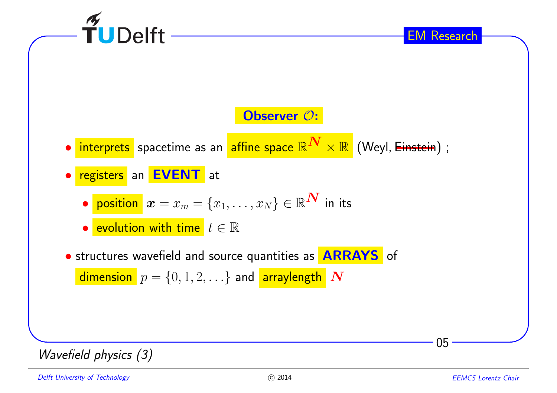| W | W |
|---|---|
| W | W |
| W | W |
| W | W |
| W | W |
| W | W |
| W | W |
| W | W |
| W | W |
| W | W |
| W | W |
| W | W |
| W | W |
| W | W |
| W | W |
| W | W |
| W | W |

\n\n
$$
P = \{0, 1, 2, \ldots\}
$$
\n

\n\n
$$
P = \{0, 1, 2, \ldots\}
$$
\n

\n\n
$$
P = \{0, 1, 2, \ldots\}
$$
\n

\n\n
$$
P = \{0, 1, 2, \ldots\}
$$
\n

\n\n
$$
P = \{0, 1, 2, \ldots\}
$$
\n

\n\n
$$
P = \{0, 1, 2, \ldots\}
$$
\n

\n\n
$$
P = \{0, 1, 2, \ldots\}
$$
\n

\n\n
$$
P = \{0, 1, 2, \ldots\}
$$
\n

\n\n
$$
P = \{0, 1, 2, \ldots\}
$$
\n

\n\n
$$
P = \{0, 1, 2, \ldots\}
$$
\n

\n\n
$$
P = \{0, 1, 2, \ldots\}
$$
\n

\n\n
$$
P = \{0, 1, 2, \ldots\}
$$
\n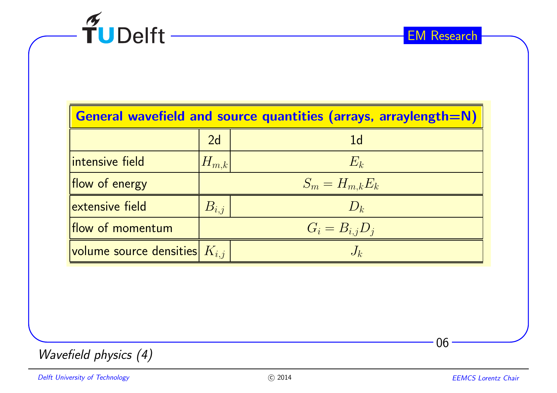

| <b>General wavefield and source quantities (arrays, arraylength=N)</b> |             |                     |
|------------------------------------------------------------------------|-------------|---------------------|
|                                                                        | 2d          | 1 <sub>d</sub>      |
| intensive field                                                        | $ H_{m,k} $ | $E_k$               |
| flow of energy                                                         |             | $S_m = H_{m,k} E_k$ |
| extensive field                                                        | $B_{i,j}$   | $D_k$               |
| flow of momentum                                                       |             | $G_i=B_{i,j}D_j$    |
| <i>volume source densities <math>K_{i,j}</math></i>                    |             | $J_{k}$             |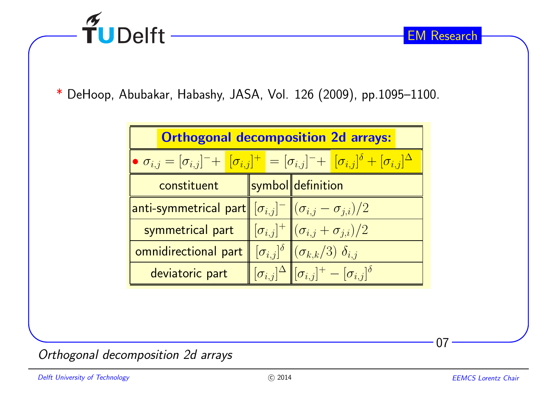

 $^\ast$  DeHoop, Abubakar, Habashy, JASA, Vol. 126  $(2009)$ , pp.1095–1100.

| <b>Orthogonal decomposition 2d arrays:</b>                                                                                                |  |                                                                                               |  |
|-------------------------------------------------------------------------------------------------------------------------------------------|--|-----------------------------------------------------------------------------------------------|--|
| $\bullet \sigma_{i,j} = [\sigma_{i,j}]^{-} + [\sigma_{i,j}]^{+} = [\sigma_{i,j}]^{-} + [\sigma_{i,j}]^{\delta} + [\sigma_{i,j}]^{\Delta}$ |  |                                                                                               |  |
| constituent                                                                                                                               |  | symbol definition                                                                             |  |
| anti-symmetrical part $\ [\sigma_{i,j}]^-\left\ (\sigma_{i,j}-\sigma_{j,i})/2\right\ $                                                    |  |                                                                                               |  |
| symmetrical part                                                                                                                          |  | $[\sigma_{i,j}]^+ \, \ (\sigma_{i,j} + \sigma_{j,i})/2\ $                                     |  |
| omnidirectional part                                                                                                                      |  | $\lbrack \sigma_{i,j} \rbrack^{\delta} \rbrack \rbrack (\sigma_{k,k}/3) \rbrack \delta_{i,j}$ |  |
| deviatoric part                                                                                                                           |  | $\ \sigma_{i,j} ^{\Delta}\ [\sigma_{i,j}]^+-[\sigma_{i,j}]^{\delta}$                          |  |

Orthogonal decomposition 2d arrays

07

EM Research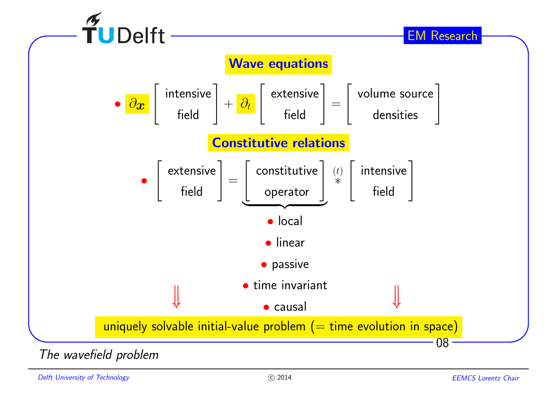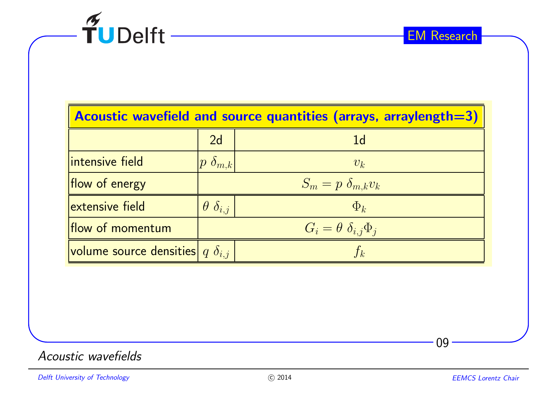

| Acoustic wavefield and source quantities (arrays, arraylength=3) |                         |                                       |
|------------------------------------------------------------------|-------------------------|---------------------------------------|
|                                                                  | 2d                      | 1 <sub>d</sub>                        |
| intensive field                                                  | $ p\,\,\delta_{m,k} $   | $v_k$                                 |
| flow of energy                                                   |                         | $S_m = p \delta_{m,k} v_k$            |
| extensive field                                                  | $\theta$ $\delta_{i,j}$ | $\Phi_k$                              |
| flow of momentum                                                 |                         | $G_i = \theta \, \delta_{i,j} \Phi_i$ |
| volume source densities $q \delta_{i,j}$                         |                         | $f_k$                                 |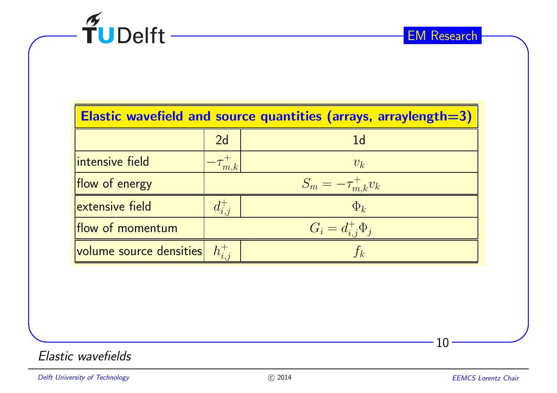

| Elastic wavefield and source quantities (arrays, arraylength=3) |                 |                           |
|-----------------------------------------------------------------|-----------------|---------------------------|
|                                                                 | 2d              | 1d                        |
| intensive field                                                 | $-\tau_{m,k}^+$ | $v_k$                     |
| flow of energy                                                  |                 | $S_m = -\tau_{m,k}^+ v_k$ |
| extensive field                                                 |                 | $\Phi_k$                  |
| flow of momentum                                                |                 | $G_i = d_{i,j}^+ \Phi_j$  |
| <i>volume</i> source densities $h_{i,i}^+$                      |                 | $\mathfrak{f}_k$          |

Elastic wavefields

 $10 -$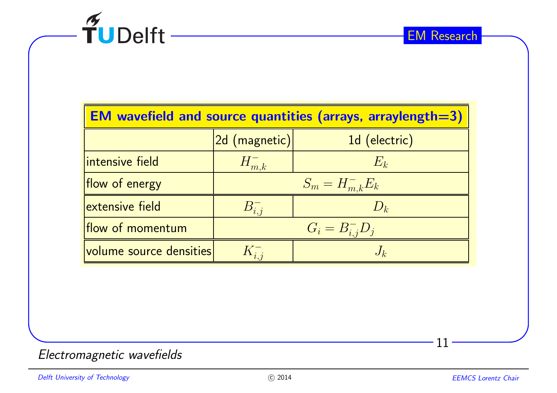

| <b>EM wavefield and source quantities (arrays, arraylength=3)</b> |                     |                          |  |
|-------------------------------------------------------------------|---------------------|--------------------------|--|
|                                                                   | $ 2d$ $(magnetic) $ | 1d (electric)            |  |
| intensive field                                                   | $H_{m,k}^-$         | $E_k$                    |  |
| flow of energy                                                    |                     | $S_m = H_{m,k}^- E_k$    |  |
| extensive field                                                   | $B_{i,i}^-$         | $D_k$                    |  |
| flow of momentum                                                  |                     | $ G_i = B_{i,j}^{-}D_j $ |  |
| $ $ volume source densities $ $                                   | $K_{i,i}^-$         | $J_k$                    |  |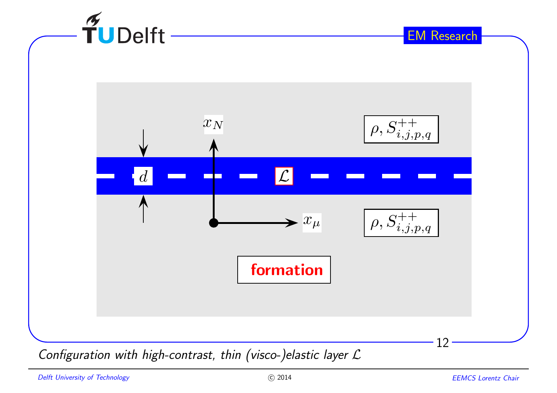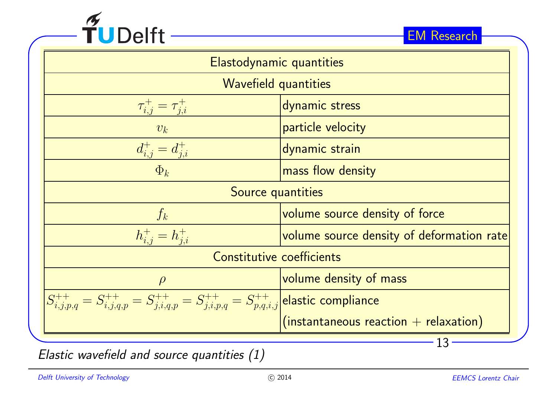

| Elastodynamic quantities                                                                                          |                                           |  |
|-------------------------------------------------------------------------------------------------------------------|-------------------------------------------|--|
| <b>Wavefield quantities</b>                                                                                       |                                           |  |
| $\tau_{i,j}^{+} = \tau_{j,i}^{+}$                                                                                 | dynamic stress                            |  |
| $v_k$                                                                                                             | particle velocity                         |  |
| $d_{i,j}^+ = d_{j,i}^+$                                                                                           | dynamic strain                            |  |
| $\Phi_k$                                                                                                          | mass flow density                         |  |
| Source quantities                                                                                                 |                                           |  |
| volume source density of force<br>$f_k$                                                                           |                                           |  |
| $h_{i,j}^+ = h_{i,i}^+$                                                                                           | volume source density of deformation rate |  |
| Constitutive coefficients                                                                                         |                                           |  |
| volume density of mass<br>$\rho$                                                                                  |                                           |  |
| $S^{++}_{i,j,p,q} = S^{++}_{i,j,q,p} = S^{++}_{j,i,q,p} = S^{++}_{j,i,p,q} = S^{++}_{p,q,i,j}$ elastic compliance |                                           |  |
|                                                                                                                   | $(instantaneous reaction + relaxation)$   |  |
|                                                                                                                   |                                           |  |

Elastic wavefield and source quantities (1)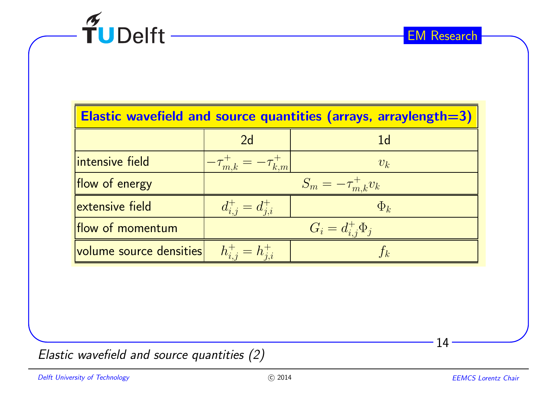

| Elastic wavefield and source quantities (arrays, arraylength=3) |                                     |                           |  |
|-----------------------------------------------------------------|-------------------------------------|---------------------------|--|
|                                                                 | 2d                                  | 1 <sub>d</sub>            |  |
| intensive field                                                 | $-\tau_{m,k}^{+} = -\tau_{k,m}^{+}$ | $v_k$                     |  |
| flow of energy                                                  |                                     | $S_m = -\tau_{m,k}^+ v_k$ |  |
| extensive field                                                 | $d_{i,j}^+ = d_{j,i}^+$             | $\Phi_k$                  |  |
| flow of momentum                                                |                                     | $G_i = d_{i,j}^+ \Phi_j$  |  |
| volume source densities                                         | $h_{i,j}^+ = h_{j,i}^+$             |                           |  |

Elastic wavefield and source quantities (2)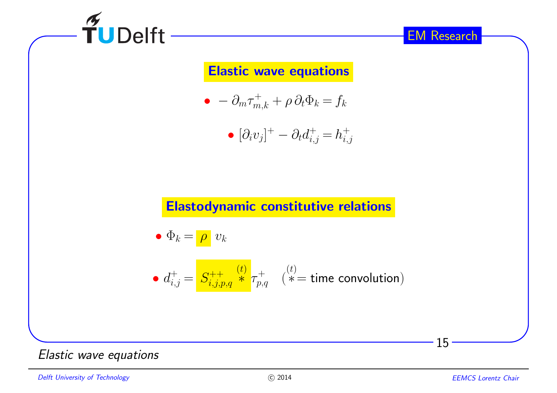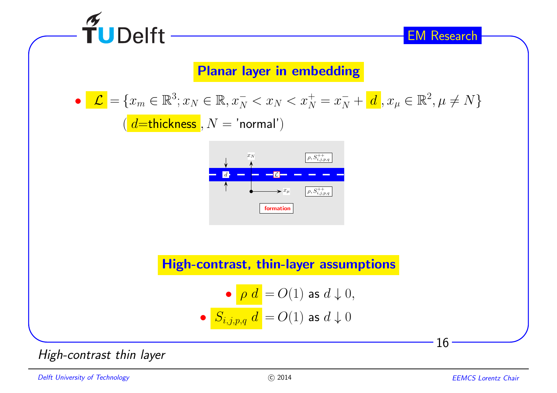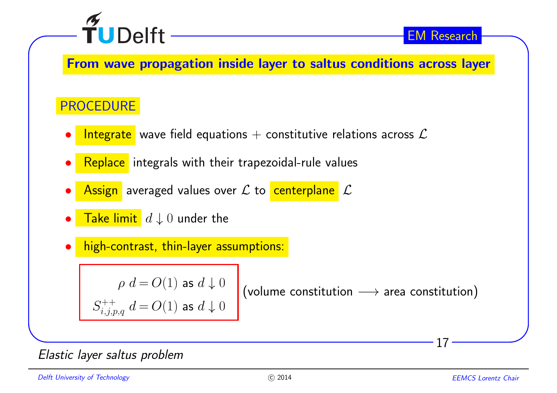

From wave propagation inside layer to saltus conditions across layer

## PROCEDURE

- •Integrate wave field equations  $+$  constitutive relations across  $\mathcal{L}$
- •Replace integrals with their trapezoidal-rule values
- • $\bullet$   $\overline{\quad}$  Assign averaged values over  ${\mathcal L}$  to  $\overline{\quad}$  centerplane  $\overline{\quad}$   ${\mathcal L}$
- • $\bullet$   $\begin{array}{c} \textsf{Take limit} \ \textsf{d} \downarrow 0 \ \textsf{under the} \end{array}$
- •high-contrast, thin-layer assumptions:

 $\rho \, d \! = \! O(1)$  as  $d \downarrow 0$  $S^{++}_{i,j,p,q}\;d\!=\!O(1)$  as  $d\downarrow 0$ 

 $({\sf volume\ contribution}\longrightarrow {\sf area\ contribution})$ 

## Elastic layer saltus problem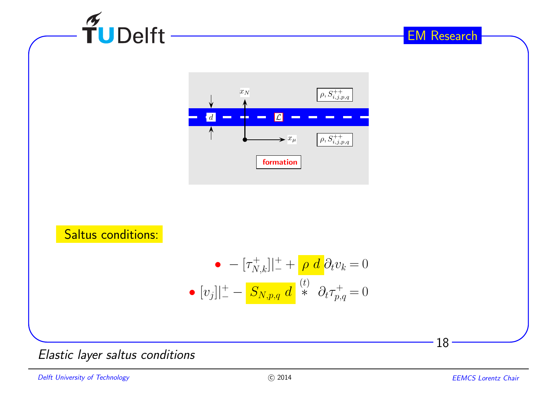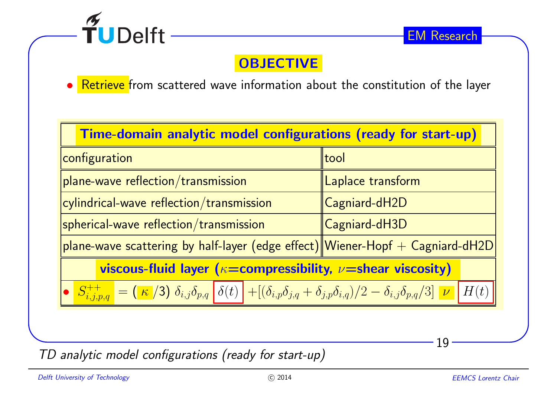

## **OBJECTIVE**

 $\bullet$   $\overline{\phantom{\bullet}}$  Retrieve from scattered wave information about the constitution of the layer •

| Time-domain analytic model configurations (ready for start-up)                                                                                                                                                                                                                                                                       |                   |  |  |
|--------------------------------------------------------------------------------------------------------------------------------------------------------------------------------------------------------------------------------------------------------------------------------------------------------------------------------------|-------------------|--|--|
| configuration                                                                                                                                                                                                                                                                                                                        | tool              |  |  |
| plane-wave reflection/transmission                                                                                                                                                                                                                                                                                                   | Laplace transform |  |  |
| cylindrical-wave reflection/transmission                                                                                                                                                                                                                                                                                             | Cagniard-dH2D     |  |  |
| $ s$ pherical-wave reflection/transmission                                                                                                                                                                                                                                                                                           | Cagniard-dH3D     |  |  |
| plane-wave scattering by half-layer (edge effect) Wiener-Hopf $+$ Cagniard-dH2D                                                                                                                                                                                                                                                      |                   |  |  |
| viscous-fluid layer ( $\kappa$ =compressibility, $\nu$ =shear viscosity)                                                                                                                                                                                                                                                             |                   |  |  |
| $\begin{array}{ c c c c c c } \hline \textbf{S}^{++}_{i,j,p,q} & = (\textcolor{red}{\kappa}\textcolor{blue}{/3})\textcolor{black}{\delta_{i,j}\delta_{p,q}}\textcolor{red}{\delta(t)} + \textcolor{red}{[(\delta_{i,p}\delta_{j,q}+\delta_{j,p}\delta_{i,q})/2-\delta_{i,j}\delta_{p,q}/3]}\textcolor{red}{\nu} \end{array}$<br>H(t) |                   |  |  |
|                                                                                                                                                                                                                                                                                                                                      |                   |  |  |

TD analytic model configurations (ready for start-up)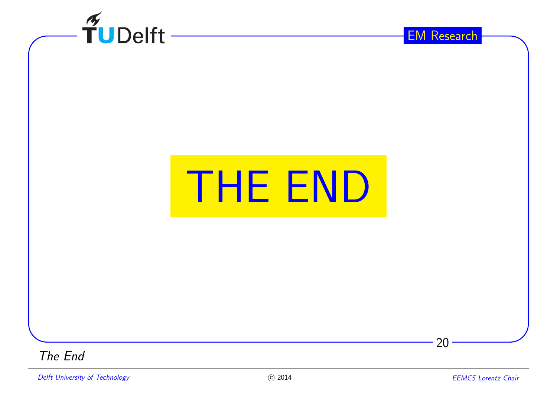